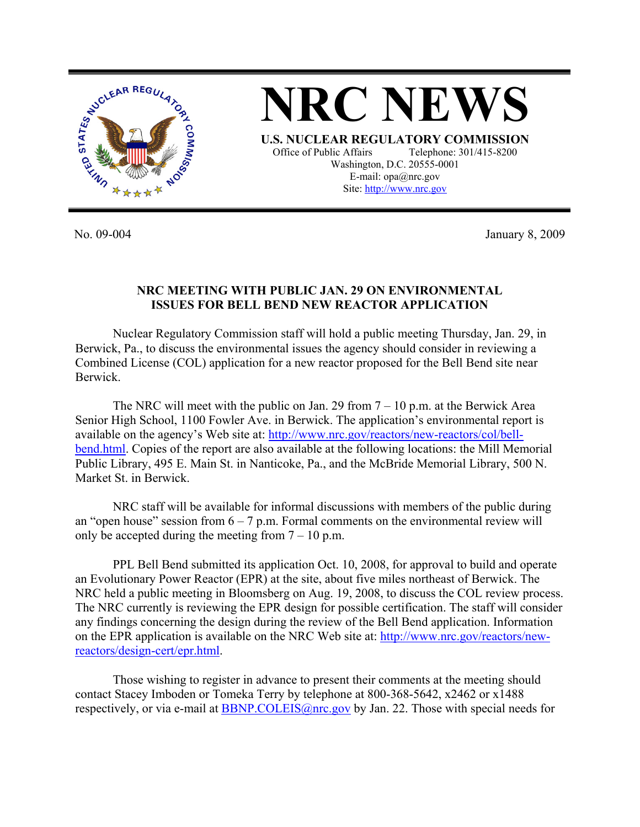



Site: http://www.nrc.gov

No. 09-004 January 8, 2009

## **NRC MEETING WITH PUBLIC JAN. 29 ON ENVIRONMENTAL ISSUES FOR BELL BEND NEW REACTOR APPLICATION**

 Nuclear Regulatory Commission staff will hold a public meeting Thursday, Jan. 29, in Berwick, Pa., to discuss the environmental issues the agency should consider in reviewing a Combined License (COL) application for a new reactor proposed for the Bell Bend site near Berwick.

The NRC will meet with the public on Jan. 29 from  $7 - 10$  p.m. at the Berwick Area Senior High School, 1100 Fowler Ave. in Berwick. The application's environmental report is available on the agency's Web site at: http://www.nrc.gov/reactors/new-reactors/col/bellbend.html. Copies of the report are also available at the following locations: the Mill Memorial Public Library, 495 E. Main St. in Nanticoke, Pa., and the McBride Memorial Library, 500 N. Market St. in Berwick.

NRC staff will be available for informal discussions with members of the public during an "open house" session from  $6 - 7$  p.m. Formal comments on the environmental review will only be accepted during the meeting from  $7 - 10$  p.m.

PPL Bell Bend submitted its application Oct. 10, 2008, for approval to build and operate an Evolutionary Power Reactor (EPR) at the site, about five miles northeast of Berwick. The NRC held a public meeting in Bloomsberg on Aug. 19, 2008, to discuss the COL review process. The NRC currently is reviewing the EPR design for possible certification. The staff will consider any findings concerning the design during the review of the Bell Bend application. Information on the EPR application is available on the NRC Web site at: http://www.nrc.gov/reactors/newreactors/design-cert/epr.html.

 Those wishing to register in advance to present their comments at the meeting should contact Stacey Imboden or Tomeka Terry by telephone at 800-368-5642, x2462 or x1488 respectively, or via e-mail at BBNP.COLEIS@nrc.gov by Jan. 22. Those with special needs for